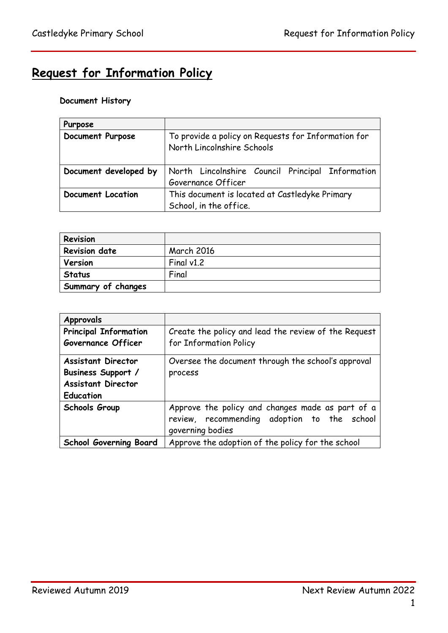# **Request for Information Policy**

# **Document History**

| Purpose                  |                                                                                   |  |  |
|--------------------------|-----------------------------------------------------------------------------------|--|--|
| Document Purpose         | To provide a policy on Requests for Information for<br>North Lincolnshire Schools |  |  |
| Document developed by    | North Lincolnshire Council Principal Information                                  |  |  |
|                          | Governance Officer                                                                |  |  |
| <b>Document Location</b> | This document is located at Castledyke Primary                                    |  |  |
|                          | School, in the office.                                                            |  |  |

| Revision             |                   |
|----------------------|-------------------|
| <b>Revision date</b> | <b>March 2016</b> |
| Version              | Final $v1.2$      |
| <b>Status</b>        | Final             |
| Summary of changes   |                   |

| Approvals                                          |                                                                                                                     |  |  |
|----------------------------------------------------|---------------------------------------------------------------------------------------------------------------------|--|--|
| <b>Principal Information</b><br>Governance Officer | Create the policy and lead the review of the Request<br>for Information Policy                                      |  |  |
|                                                    |                                                                                                                     |  |  |
| <b>Assistant Director</b>                          | Oversee the document through the school's approval                                                                  |  |  |
| Business Support /                                 | process                                                                                                             |  |  |
| <b>Assistant Director</b>                          |                                                                                                                     |  |  |
| <b>Education</b>                                   |                                                                                                                     |  |  |
| Schools Group                                      | Approve the policy and changes made as part of a<br>review, recommending adoption to the school<br>governing bodies |  |  |
| <b>School Governing Board</b>                      | Approve the adoption of the policy for the school                                                                   |  |  |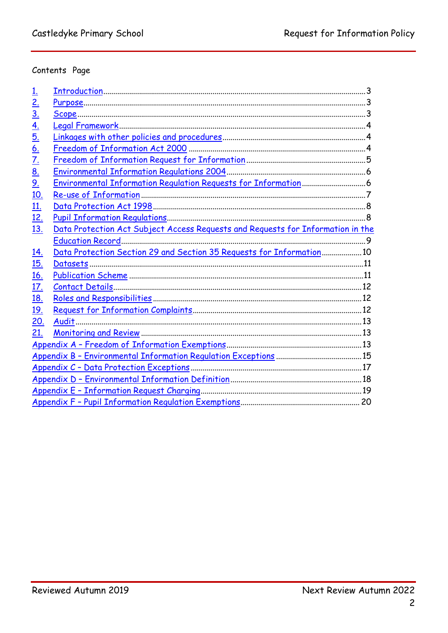# Contents Page

<span id="page-1-0"></span>

| <u>1.</u>         |                                                                                 |  |
|-------------------|---------------------------------------------------------------------------------|--|
| 2.                |                                                                                 |  |
| <u>3.</u>         |                                                                                 |  |
| $\underline{4}$ . |                                                                                 |  |
| <u>5.</u>         |                                                                                 |  |
| $\underline{6}$ . |                                                                                 |  |
| <u>7.</u>         |                                                                                 |  |
| <u>8.</u>         |                                                                                 |  |
| <u>9.</u>         |                                                                                 |  |
| <u>10.</u>        |                                                                                 |  |
| <u>11.</u>        |                                                                                 |  |
| <u>12.</u>        |                                                                                 |  |
| <u>13.</u>        | Data Protection Act Subject Access Requests and Requests for Information in the |  |
|                   |                                                                                 |  |
| <u>14.</u>        | Data Protection Section 29 and Section 35 Requests for Information 10           |  |
| <u>15.</u>        |                                                                                 |  |
| <u>16.</u>        |                                                                                 |  |
| <u>17.</u>        |                                                                                 |  |
| <u>18.</u>        |                                                                                 |  |
| <u>19.</u>        |                                                                                 |  |
| 20.               |                                                                                 |  |
| 21.               |                                                                                 |  |
|                   |                                                                                 |  |
|                   |                                                                                 |  |
|                   |                                                                                 |  |
|                   |                                                                                 |  |
|                   |                                                                                 |  |
|                   |                                                                                 |  |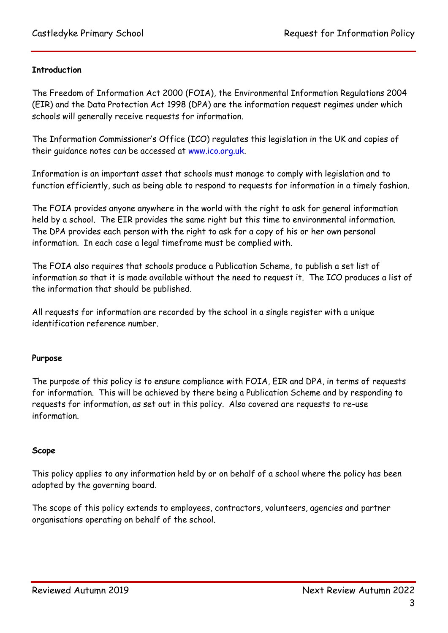## **Introduction**

The Freedom of Information Act 2000 (FOIA), the Environmental Information Regulations 2004 (EIR) and the Data Protection Act 1998 (DPA) are the information request regimes under which schools will generally receive requests for information.

The Information Commissioner's Office (ICO) regulates this legislation in the UK and copies of their guidance notes can be accessed at [www.ico.org.uk.](http://www.ico.org.uk/)

Information is an important asset that schools must manage to comply with legislation and to function efficiently, such as being able to respond to requests for information in a timely fashion.

The FOIA provides anyone anywhere in the world with the right to ask for general information held by a school. The EIR provides the same right but this time to environmental information. The DPA provides each person with the right to ask for a copy of his or her own personal information. In each case a legal timeframe must be complied with.

The FOIA also requires that schools produce a Publication Scheme, to publish a set list of information so that it is made available without the need to request it. The ICO produces a list of the information that should be published.

All requests for information are recorded by the school in a single register with a unique identification reference number.

#### <span id="page-2-0"></span>**Purpose**

The purpose of this policy is to ensure compliance with FOIA, EIR and DPA, in terms of requests for information. This will be achieved by there being a Publication Scheme and by responding to requests for information, as set out in this policy. Also covered are requests to re-use information.

#### <span id="page-2-1"></span>**Scope**

This policy applies to any information held by or on behalf of a school where the policy has been adopted by the governing board.

The scope of this policy extends to employees, contractors, volunteers, agencies and partner organisations operating on behalf of the school.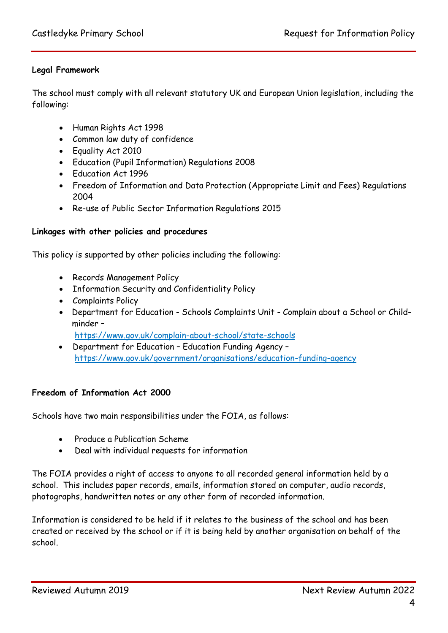## <span id="page-3-0"></span>**Legal Framework**

The school must comply with all relevant statutory UK and European Union legislation, including the following:

- Human Rights Act 1998
- Common law duty of confidence
- Equality Act 2010
- Education (Pupil Information) Regulations 2008
- Education Act 1996
- Freedom of Information and Data Protection (Appropriate Limit and Fees) Regulations 2004
- Re-use of Public Sector Information Regulations 2015

#### <span id="page-3-1"></span>**Linkages with other policies and procedures**

This policy is supported by other policies including the following:

- Records Management Policy
- Information Security and Confidentiality Policy
- Complaints Policy
- Department for Education Schools Complaints Unit Complain about a School or Childminder – <https://www.gov.uk/complain-about-school/state-schools>
- Department for Education Education Funding Agency <https://www.gov.uk/government/organisations/education-funding-agency>

#### <span id="page-3-2"></span>**Freedom of Information Act 2000**

Schools have two main responsibilities under the FOIA, as follows:

- Produce a Publication Scheme
- Deal with individual requests for information

The FOIA provides a right of access to anyone to all recorded general information held by a school. This includes paper records, emails, information stored on computer, audio records, photographs, handwritten notes or any other form of recorded information.

Information is considered to be held if it relates to the business of the school and has been created or received by the school or if it is being held by another organisation on behalf of the school.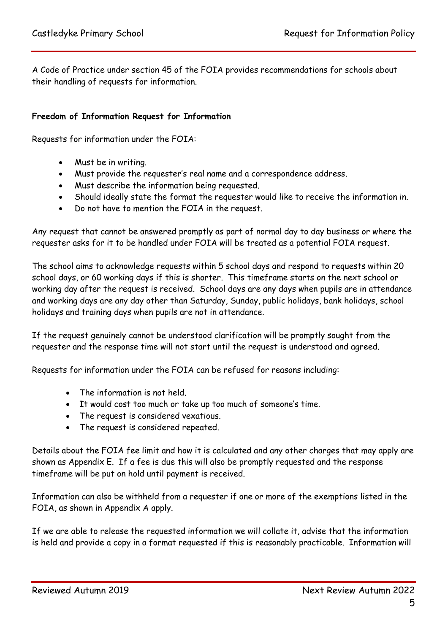A Code of Practice under section 45 of the FOIA provides recommendations for schools about their handling of requests for information.

## <span id="page-4-0"></span>**Freedom of Information Request for Information**

Requests for information under the FOIA:

- Must be in writing.
- Must provide the requester's real name and a correspondence address.
- Must describe the information being requested.
- Should ideally state the format the requester would like to receive the information in.
- Do not have to mention the FOIA in the request.

Any request that cannot be answered promptly as part of normal day to day business or where the requester asks for it to be handled under FOIA will be treated as a potential FOIA request.

The school aims to acknowledge requests within 5 school days and respond to requests within 20 school days, or 60 working days if this is shorter. This timeframe starts on the next school or working day after the request is received. School days are any days when pupils are in attendance and working days are any day other than Saturday, Sunday, public holidays, bank holidays, school holidays and training days when pupils are not in attendance.

If the request genuinely cannot be understood clarification will be promptly sought from the requester and the response time will not start until the request is understood and agreed.

Requests for information under the FOIA can be refused for reasons including:

- The information is not held.
- It would cost too much or take up too much of someone's time.
- The request is considered vexatious.
- The request is considered repeated.

Details about the FOIA fee limit and how it is calculated and any other charges that may apply are shown as Appendix E. If a fee is due this will also be promptly requested and the response timeframe will be put on hold until payment is received.

Information can also be withheld from a requester if one or more of the exemptions listed in the FOIA, as shown in Appendix A apply.

If we are able to release the requested information we will collate it, advise that the information is held and provide a copy in a format requested if this is reasonably practicable. Information will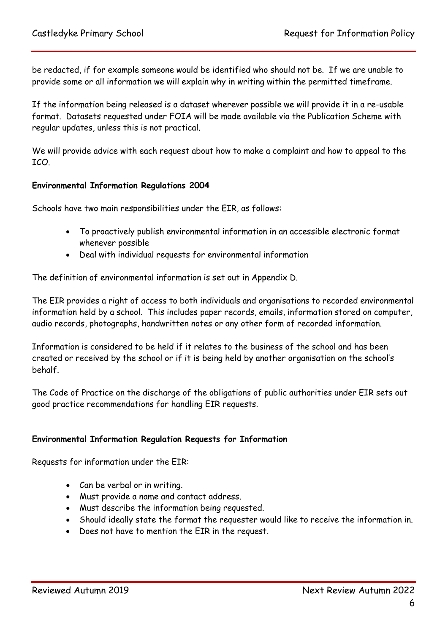be redacted, if for example someone would be identified who should not be. If we are unable to provide some or all information we will explain why in writing within the permitted timeframe.

If the information being released is a dataset wherever possible we will provide it in a re-usable format. Datasets requested under FOIA will be made available via the Publication Scheme with regular updates, unless this is not practical.

We will provide advice with each request about how to make a complaint and how to appeal to the ICO.

#### <span id="page-5-0"></span>**Environmental Information Regulations 2004**

Schools have two main responsibilities under the EIR, as follows:

- To proactively publish environmental information in an accessible electronic format whenever possible
- Deal with individual requests for environmental information

The definition of environmental information is set out in Appendix D.

The EIR provides a right of access to both individuals and organisations to recorded environmental information held by a school. This includes paper records, emails, information stored on computer, audio records, photographs, handwritten notes or any other form of recorded information.

Information is considered to be held if it relates to the business of the school and has been created or received by the school or if it is being held by another organisation on the school's behalf.

The Code of Practice on the discharge of the obligations of public authorities under EIR sets out good practice recommendations for handling EIR requests.

## <span id="page-5-1"></span>**Environmental Information Regulation Requests for Information**

Requests for information under the EIR:

- Can be verbal or in writing.
- Must provide a name and contact address.
- Must describe the information being requested.
- Should ideally state the format the requester would like to receive the information in.
- Does not have to mention the EIR in the request.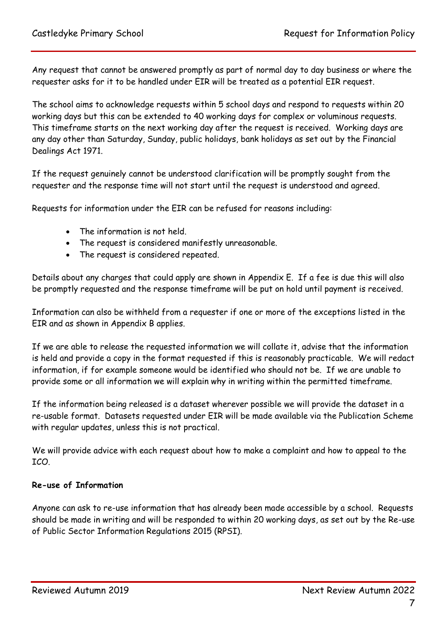Any request that cannot be answered promptly as part of normal day to day business or where the requester asks for it to be handled under EIR will be treated as a potential EIR request.

The school aims to acknowledge requests within 5 school days and respond to requests within 20 working days but this can be extended to 40 working days for complex or voluminous requests. This timeframe starts on the next working day after the request is received. Working days are any day other than Saturday, Sunday, public holidays, bank holidays as set out by the Financial Dealings Act 1971.

If the request genuinely cannot be understood clarification will be promptly sought from the requester and the response time will not start until the request is understood and agreed.

Requests for information under the EIR can be refused for reasons including:

- The information is not held.
- The request is considered manifestly unreasonable.
- The request is considered repeated.

Details about any charges that could apply are shown in Appendix E. If a fee is due this will also be promptly requested and the response timeframe will be put on hold until payment is received.

Information can also be withheld from a requester if one or more of the exceptions listed in the EIR and as shown in Appendix B applies.

If we are able to release the requested information we will collate it, advise that the information is held and provide a copy in the format requested if this is reasonably practicable. We will redact information, if for example someone would be identified who should not be. If we are unable to provide some or all information we will explain why in writing within the permitted timeframe.

If the information being released is a dataset wherever possible we will provide the dataset in a re-usable format. Datasets requested under EIR will be made available via the Publication Scheme with regular updates, unless this is not practical.

We will provide advice with each request about how to make a complaint and how to appeal to the ICO.

# <span id="page-6-0"></span>**Re-use of Information**

Anyone can ask to re-use information that has already been made accessible by a school. Requests should be made in writing and will be responded to within 20 working days, as set out by the Re-use of Public Sector Information Regulations 2015 (RPSI).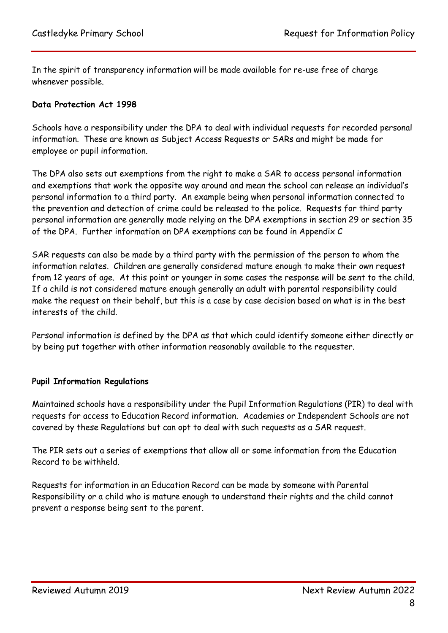In the spirit of transparency information will be made available for re-use free of charge whenever possible.

## <span id="page-7-0"></span>**Data Protection Act 1998**

Schools have a responsibility under the DPA to deal with individual requests for recorded personal information. These are known as Subject Access Requests or SARs and might be made for employee or pupil information.

The DPA also sets out exemptions from the right to make a SAR to access personal information and exemptions that work the opposite way around and mean the school can release an individual's personal information to a third party. An example being when personal information connected to the prevention and detection of crime could be released to the police. Requests for third party personal information are generally made relying on the DPA exemptions in section 29 or section 35 of the DPA. Further information on DPA exemptions can be found in Appendix C

SAR requests can also be made by a third party with the permission of the person to whom the information relates. Children are generally considered mature enough to make their own request from 12 years of age. At this point or younger in some cases the response will be sent to the child. If a child is not considered mature enough generally an adult with parental responsibility could make the request on their behalf, but this is a case by case decision based on what is in the best interests of the child.

Personal information is defined by the DPA as that which could identify someone either directly or by being put together with other information reasonably available to the requester.

#### <span id="page-7-1"></span>**Pupil Information Regulations**

Maintained schools have a responsibility under the Pupil Information Regulations (PIR) to deal with requests for access to Education Record information. Academies or Independent Schools are not covered by these Regulations but can opt to deal with such requests as a SAR request.

The PIR sets out a series of exemptions that allow all or some information from the Education Record to be withheld.

Requests for information in an Education Record can be made by someone with Parental Responsibility or a child who is mature enough to understand their rights and the child cannot prevent a response being sent to the parent.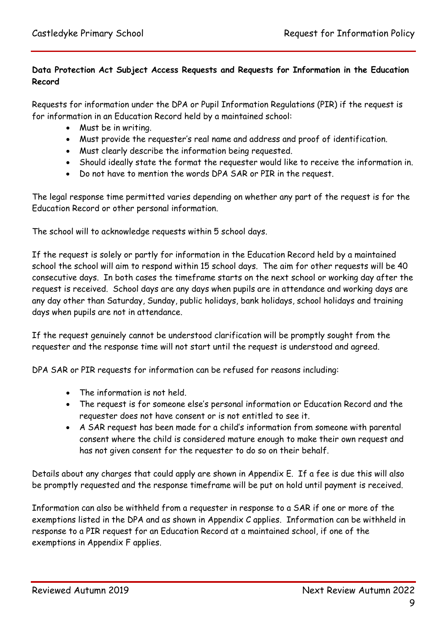# <span id="page-8-0"></span>**Data Protection Act Subject Access Requests and Requests for Information in the Education Record**

Requests for information under the DPA or Pupil Information Regulations (PIR) if the request is for information in an Education Record held by a maintained school:

- Must be in writing.
- Must provide the requester's real name and address and proof of identification.
- Must clearly describe the information being requested.
- Should ideally state the format the requester would like to receive the information in.
- Do not have to mention the words DPA SAR or PIR in the request.

The legal response time permitted varies depending on whether any part of the request is for the Education Record or other personal information.

The school will to acknowledge requests within 5 school days.

If the request is solely or partly for information in the Education Record held by a maintained school the school will aim to respond within 15 school days. The aim for other requests will be 40 consecutive days. In both cases the timeframe starts on the next school or working day after the request is received. School days are any days when pupils are in attendance and working days are any day other than Saturday, Sunday, public holidays, bank holidays, school holidays and training days when pupils are not in attendance.

If the request genuinely cannot be understood clarification will be promptly sought from the requester and the response time will not start until the request is understood and agreed.

DPA SAR or PIR requests for information can be refused for reasons including:

- The information is not held.
- The request is for someone else's personal information or Education Record and the requester does not have consent or is not entitled to see it.
- A SAR request has been made for a child's information from someone with parental consent where the child is considered mature enough to make their own request and has not given consent for the requester to do so on their behalf.

Details about any charges that could apply are shown in Appendix E. If a fee is due this will also be promptly requested and the response timeframe will be put on hold until payment is received.

Information can also be withheld from a requester in response to a SAR if one or more of the exemptions listed in the DPA and as shown in Appendix C applies. Information can be withheld in response to a PIR request for an Education Record at a maintained school, if one of the exemptions in Appendix F applies.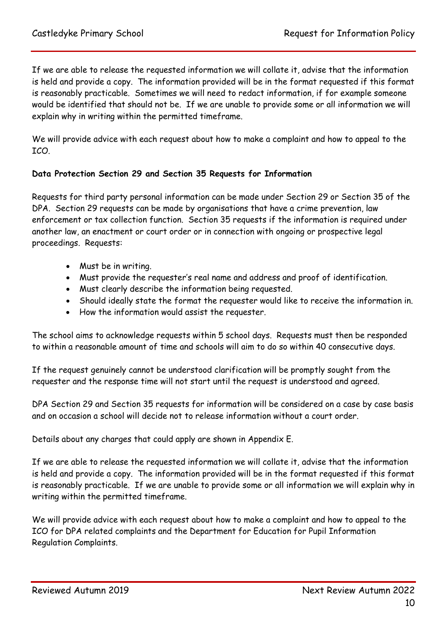If we are able to release the requested information we will collate it, advise that the information is held and provide a copy. The information provided will be in the format requested if this format is reasonably practicable. Sometimes we will need to redact information, if for example someone would be identified that should not be. If we are unable to provide some or all information we will explain why in writing within the permitted timeframe.

We will provide advice with each request about how to make a complaint and how to appeal to the ICO.

## <span id="page-9-0"></span>**Data Protection Section 29 and Section 35 Requests for Information**

Requests for third party personal information can be made under Section 29 or Section 35 of the DPA. Section 29 requests can be made by organisations that have a crime prevention, law enforcement or tax collection function. Section 35 requests if the information is required under another law, an enactment or court order or in connection with ongoing or prospective legal proceedings. Requests:

- Must be in writing.
- Must provide the requester's real name and address and proof of identification.
- Must clearly describe the information being requested.
- Should ideally state the format the requester would like to receive the information in.
- How the information would assist the requester.

The school aims to acknowledge requests within 5 school days. Requests must then be responded to within a reasonable amount of time and schools will aim to do so within 40 consecutive days.

If the request genuinely cannot be understood clarification will be promptly sought from the requester and the response time will not start until the request is understood and agreed.

DPA Section 29 and Section 35 requests for information will be considered on a case by case basis and on occasion a school will decide not to release information without a court order.

Details about any charges that could apply are shown in Appendix E.

If we are able to release the requested information we will collate it, advise that the information is held and provide a copy. The information provided will be in the format requested if this format is reasonably practicable. If we are unable to provide some or all information we will explain why in writing within the permitted timeframe.

We will provide advice with each request about how to make a complaint and how to appeal to the ICO for DPA related complaints and the Department for Education for Pupil Information Regulation Complaints.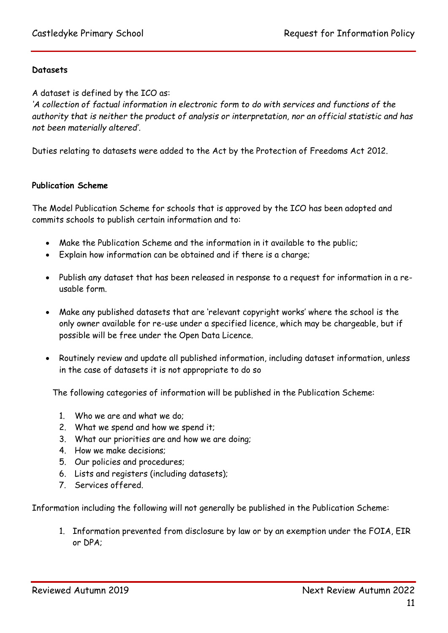## <span id="page-10-0"></span>**Datasets**

A dataset is defined by the ICO as:

*'A collection of factual information in electronic form to do with services and functions of the authority that is neither the product of analysis or interpretation, nor an official statistic and has not been materially altered'.*

Duties relating to datasets were added to the Act by the Protection of Freedoms Act 2012.

#### <span id="page-10-1"></span>**Publication Scheme**

The Model Publication Scheme for schools that is approved by the ICO has been adopted and commits schools to publish certain information and to:

- Make the Publication Scheme and the information in it available to the public;
- Explain how information can be obtained and if there is a charge;
- Publish any dataset that has been released in response to a request for information in a reusable form.
- Make any published datasets that are 'relevant copyright works' where the school is the only owner available for re-use under a specified licence, which may be chargeable, but if possible will be free under the Open Data Licence.
- Routinely review and update all published information, including dataset information, unless in the case of datasets it is not appropriate to do so

The following categories of information will be published in the Publication Scheme:

- 1. Who we are and what we do;
- 2. What we spend and how we spend it;
- 3. What our priorities are and how we are doing;
- 4. How we make decisions;
- 5. Our policies and procedures;
- 6. Lists and registers (including datasets);
- 7. Services offered.

Information including the following will not generally be published in the Publication Scheme:

1. Information prevented from disclosure by law or by an exemption under the FOIA, EIR or DPA;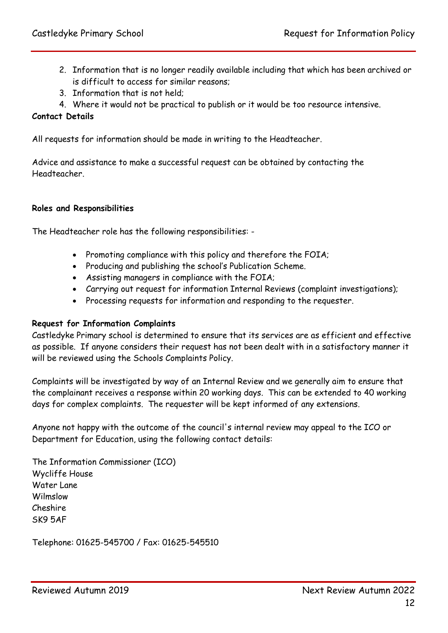- 2. Information that is no longer readily available including that which has been archived or is difficult to access for similar reasons;
- 3. Information that is not held;
- 4. Where it would not be practical to publish or it would be too resource intensive.

#### <span id="page-11-0"></span>**Contact Details**

All requests for information should be made in writing to the Headteacher.

Advice and assistance to make a successful request can be obtained by contacting the Headteacher.

#### <span id="page-11-1"></span>**Roles and Responsibilities**

The Headteacher role has the following responsibilities: -

- Promoting compliance with this policy and therefore the FOIA;
- Producing and publishing the school's Publication Scheme.
- Assisting managers in compliance with the FOIA;
- Carrying out request for information Internal Reviews (complaint investigations);
- Processing requests for information and responding to the requester.

#### <span id="page-11-2"></span>**Request for Information Complaints**

Castledyke Primary school is determined to ensure that its services are as efficient and effective as possible. If anyone considers their request has not been dealt with in a satisfactory manner it will be reviewed using the Schools Complaints Policy.

Complaints will be investigated by way of an Internal Review and we generally aim to ensure that the complainant receives a response within 20 working days. This can be extended to 40 working days for complex complaints. The requester will be kept informed of any extensions.

Anyone not happy with the outcome of the council's internal review may appeal to the ICO or Department for Education, using the following contact details:

The Information Commissioner (ICO) Wycliffe House Water Lane Wilmslow Cheshire SK9 5AF

Telephone: 01625-545700 / Fax: 01625-545510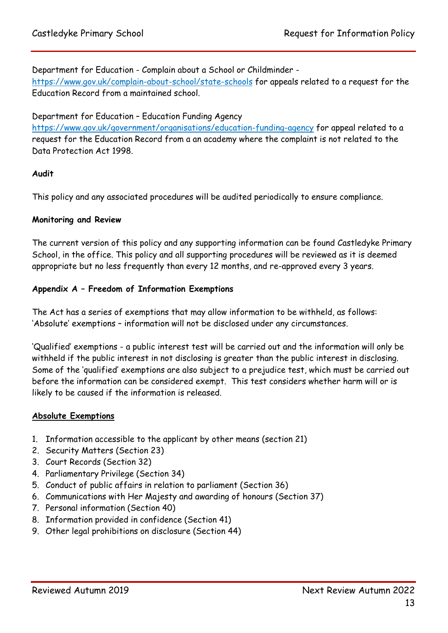Department for Education - Complain about a School or Childminder -

<https://www.gov.uk/complain-about-school/state-schools> for appeals related to a request for the Education Record from a maintained school.

## Department for Education – Education Funding Agency

<https://www.gov.uk/government/organisations/education-funding-agency> for appeal related to a request for the Education Record from a an academy where the complaint is not related to the Data Protection Act 1998.

## <span id="page-12-0"></span>**Audit**

This policy and any associated procedures will be audited periodically to ensure compliance.

#### <span id="page-12-1"></span>**Monitoring and Review**

The current version of this policy and any supporting information can be found Castledyke Primary School, in the office. This policy and all supporting procedures will be reviewed as it is deemed appropriate but no less frequently than every 12 months, and re-approved every 3 years.

## <span id="page-12-2"></span>**Appendix A – Freedom of Information Exemptions**

The Act has a series of exemptions that may allow information to be withheld, as follows: 'Absolute' exemptions – information will not be disclosed under any circumstances.

'Qualified' exemptions - a public interest test will be carried out and the information will only be withheld if the public interest in not disclosing is greater than the public interest in disclosing. Some of the 'qualified' exemptions are also subject to a prejudice test, which must be carried out before the information can be considered exempt. This test considers whether harm will or is likely to be caused if the information is released.

#### **Absolute Exemptions**

- 1. Information accessible to the applicant by other means (section 21)
- 2. Security Matters (Section 23)
- 3. Court Records (Section 32)
- 4. Parliamentary Privilege (Section 34)
- 5. Conduct of public affairs in relation to parliament (Section 36)
- 6. Communications with Her Majesty and awarding of honours (Section 37)
- 7. Personal information (Section 40)
- 8. Information provided in confidence (Section 41)
- 9. Other legal prohibitions on disclosure (Section 44)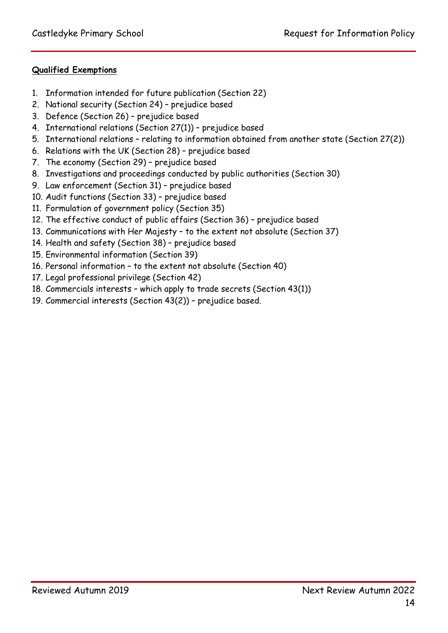# **Qualified Exemptions**

- 1. Information intended for future publication (Section 22)
- 2. National security (Section 24) prejudice based
- 3. Defence (Section 26) prejudice based
- 4. International relations (Section 27(1)) prejudice based
- 5. International relations relating to information obtained from another state (Section 27(2))
- 6. Relations with the UK (Section 28) prejudice based
- 7. The economy (Section 29) prejudice based
- 8. Investigations and proceedings conducted by public authorities (Section 30)
- 9. Law enforcement (Section 31) prejudice based
- 10. Audit functions (Section 33) prejudice based
- 11. Formulation of government policy (Section 35)
- 12. The effective conduct of public affairs (Section 36) prejudice based
- 13. Communications with Her Majesty to the extent not absolute (Section 37)
- 14. Health and safety (Section 38) prejudice based
- 15. Environmental information (Section 39)
- 16. Personal information to the extent not absolute (Section 40)
- 17. Legal professional privilege (Section 42)
- 18. Commercials interests which apply to trade secrets (Section 43(1))
- <span id="page-13-0"></span>19. Commercial interests (Section 43(2)) – prejudice based.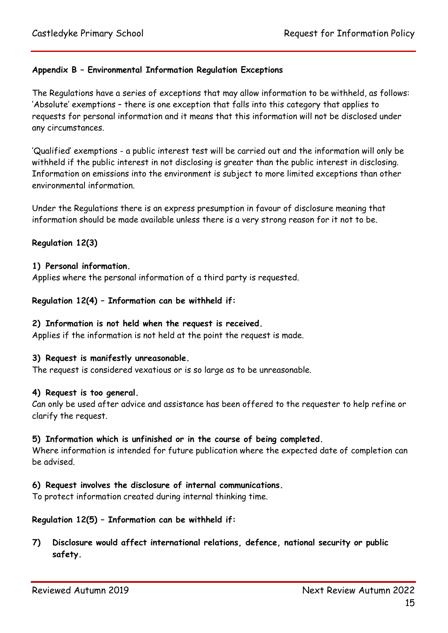## **Appendix B – Environmental Information Regulation Exceptions**

The Regulations have a series of exceptions that may allow information to be withheld, as follows: 'Absolute' exemptions – there is one exception that falls into this category that applies to requests for personal information and it means that this information will not be disclosed under any circumstances.

'Qualified' exemptions - a public interest test will be carried out and the information will only be withheld if the public interest in not disclosing is greater than the public interest in disclosing. Information on emissions into the environment is subject to more limited exceptions than other environmental information.

Under the Regulations there is an express presumption in favour of disclosure meaning that information should be made available unless there is a very strong reason for it not to be.

#### **Regulation 12(3)**

#### **1) Personal information.**

Applies where the personal information of a third party is requested.

#### **Regulation 12(4) – Information can be withheld if:**

#### **2) Information is not held when the request is received.**

Applies if the information is not held at the point the request is made.

#### **3) Request is manifestly unreasonable.**

The request is considered vexatious or is so large as to be unreasonable.

#### **4) Request is too general.**

Can only be used after advice and assistance has been offered to the requester to help refine or clarify the request.

#### **5) Information which is unfinished or in the course of being completed.**

Where information is intended for future publication where the expected date of completion can be advised.

#### **6) Request involves the disclosure of internal communications.**

To protect information created during internal thinking time.

#### **Regulation 12(5) – Information can be withheld if:**

**7) Disclosure would affect international relations, defence, national security or public safety.**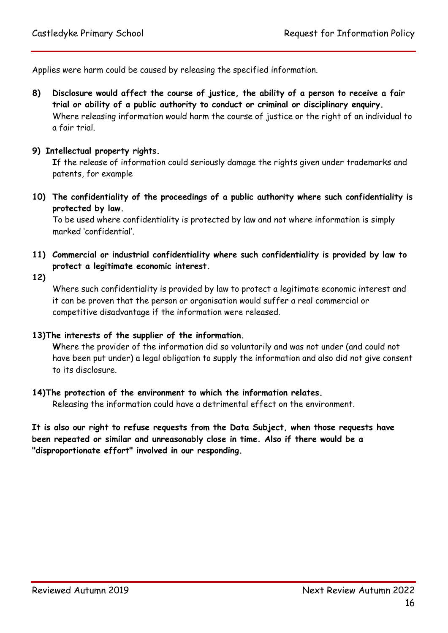Applies were harm could be caused by releasing the specified information.

**8) Disclosure would affect the course of justice, the ability of a person to receive a fair trial or ability of a public authority to conduct or criminal or disciplinary enquiry.** Where releasing information would harm the course of justice or the right of an individual to a fair trial.

#### **9) Intellectual property rights.**

**I**f the release of information could seriously damage the rights given under trademarks and patents, for example

**10) The confidentiality of the proceedings of a public authority where such confidentiality is protected by law.**

To be used where confidentiality is protected by law and not where information is simply marked 'confidential'.

- **11) Commercial or industrial confidentiality where such confidentiality is provided by law to protect a legitimate economic interest.**
- **12)**

Where such confidentiality is provided by law to protect a legitimate economic interest and it can be proven that the person or organisation would suffer a real commercial or competitive disadvantage if the information were released.

#### **13)The interests of the supplier of the information.**

**W**here the provider of the information did so voluntarily and was not under (and could not have been put under) a legal obligation to supply the information and also did not give consent to its disclosure.

## **14)The protection of the environment to which the information relates.**

Releasing the information could have a detrimental effect on the environment.

**It is also our right to refuse requests from the Data Subject, when those requests have been repeated or similar and unreasonably close in time. Also if there would be a "disproportionate effort" involved in our responding.**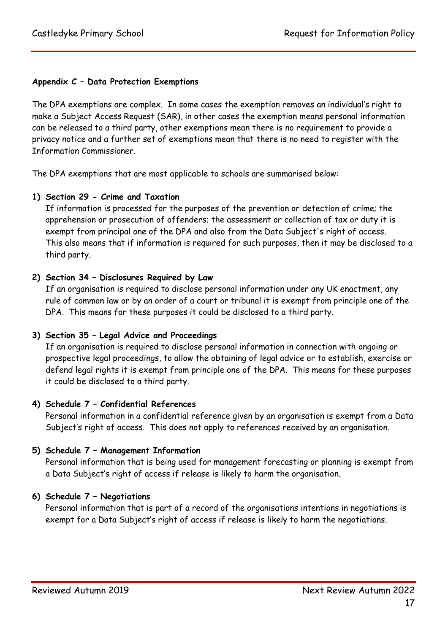# <span id="page-16-0"></span>**Appendix C – Data Protection Exemptions**

The DPA exemptions are complex. In some cases the exemption removes an individual's right to make a Subject Access Request (SAR), in other cases the exemption means personal information can be released to a third party, other exemptions mean there is no requirement to provide a privacy notice and a further set of exemptions mean that there is no need to register with the Information Commissioner.

The DPA exemptions that are most applicable to schools are summarised below:

## **1) Section 29 - Crime and Taxation**

If information is processed for the purposes of the prevention or detection of crime; the apprehension or prosecution of offenders; the assessment or collection of tax or duty it is exempt from principal one of the DPA and also from the Data Subject's right of access. This also means that if information is required for such purposes, then it may be disclosed to a third party.

## **2) Section 34 – Disclosures Required by Law**

If an organisation is required to disclose personal information under any UK enactment, any rule of common law or by an order of a court or tribunal it is exempt from principle one of the DPA. This means for these purposes it could be disclosed to a third party.

## **3) Section 35 – Legal Advice and Proceedings**

If an organisation is required to disclose personal information in connection with ongoing or prospective legal proceedings, to allow the obtaining of legal advice or to establish, exercise or defend legal rights it is exempt from principle one of the DPA. This means for these purposes it could be disclosed to a third party.

## **4) Schedule 7 – Confidential References**

Personal information in a confidential reference given by an organisation is exempt from a Data Subject's right of access. This does not apply to references received by an organisation.

## **5) Schedule 7 – Management Information**

Personal information that is being used for management forecasting or planning is exempt from a Data Subject's right of access if release is likely to harm the organisation.

## **6) Schedule 7 – Negotiations**

Personal information that is part of a record of the organisations intentions in negotiations is exempt for a Data Subject's right of access if release is likely to harm the negotiations.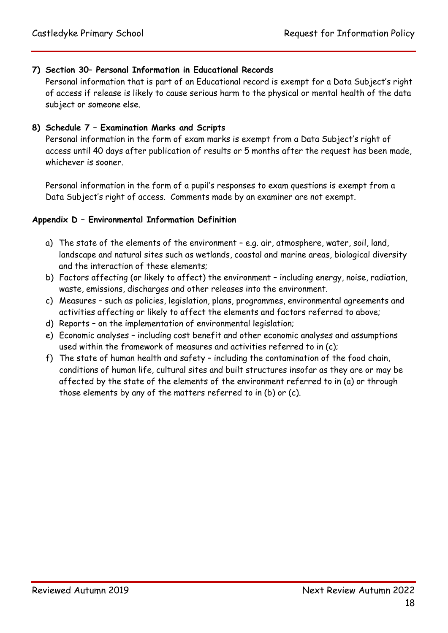## **7) Section 30– Personal Information in Educational Records**

Personal information that is part of an Educational record is exempt for a Data Subject's right of access if release is likely to cause serious harm to the physical or mental health of the data subject or someone else.

## **8) Schedule 7 – Examination Marks and Scripts**

Personal information in the form of exam marks is exempt from a Data Subject's right of access until 40 days after publication of results or 5 months after the request has been made, whichever is sooner.

Personal information in the form of a pupil's responses to exam questions is exempt from a Data Subject's right of access. Comments made by an examiner are not exempt.

## <span id="page-17-0"></span>**Appendix D – Environmental Information Definition**

- a) The state of the elements of the environment e.g. air, atmosphere, water, soil, land, landscape and natural sites such as wetlands, coastal and marine areas, biological diversity and the interaction of these elements;
- b) Factors affecting (or likely to affect) the environment including energy, noise, radiation, waste, emissions, discharges and other releases into the environment.
- c) Measures such as policies, legislation, plans, programmes, environmental agreements and activities affecting or likely to affect the elements and factors referred to above;
- d) Reports on the implementation of environmental legislation;
- e) Economic analyses including cost benefit and other economic analyses and assumptions used within the framework of measures and activities referred to in (c);
- <span id="page-17-1"></span>f) The state of human health and safety – including the contamination of the food chain, conditions of human life, cultural sites and built structures insofar as they are or may be affected by the state of the elements of the environment referred to in (a) or through those elements by any of the matters referred to in (b) or (c).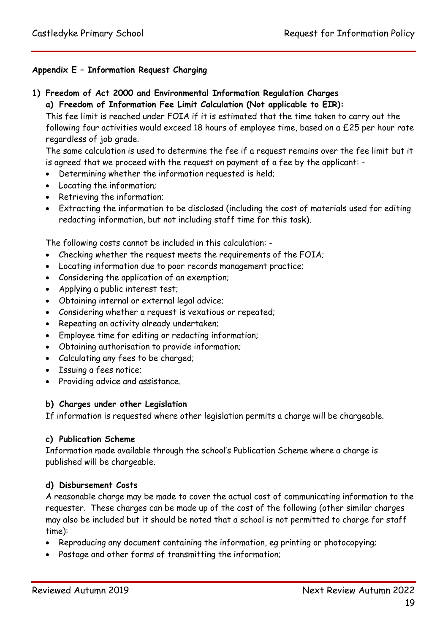## **Appendix E – Information Request Charging**

- **1) Freedom of Act 2000 and Environmental Information Regulation Charges**
	- **a) Freedom of Information Fee Limit Calculation (Not applicable to EIR):**

This fee limit is reached under FOIA if it is estimated that the time taken to carry out the following four activities would exceed 18 hours of employee time, based on a £25 per hour rate regardless of job grade.

The same calculation is used to determine the fee if a request remains over the fee limit but it is agreed that we proceed with the request on payment of a fee by the applicant: -

- Determining whether the information requested is held;
- Locating the information;
- Retrieving the information;
- Extracting the information to be disclosed (including the cost of materials used for editing redacting information, but not including staff time for this task).

The following costs cannot be included in this calculation: -

- Checking whether the request meets the requirements of the FOIA;
- Locating information due to poor records management practice;
- Considering the application of an exemption;
- Applying a public interest test;
- Obtaining internal or external legal advice;
- Considering whether a request is vexatious or repeated;
- Repeating an activity already undertaken;
- Employee time for editing or redacting information;
- Obtaining authorisation to provide information;
- Calculating any fees to be charged;
- Issuing a fees notice;
- Providing advice and assistance.

#### **b) Charges under other Legislation**

If information is requested where other legislation permits a charge will be chargeable.

#### **c) Publication Scheme**

Information made available through the school's Publication Scheme where a charge is published will be chargeable.

#### **d) Disbursement Costs**

A reasonable charge may be made to cover the actual cost of communicating information to the requester. These charges can be made up of the cost of the following (other similar charges may also be included but it should be noted that a school is not permitted to charge for staff time):

- Reproducing any document containing the information, eg printing or photocopying;
- Postage and other forms of transmitting the information;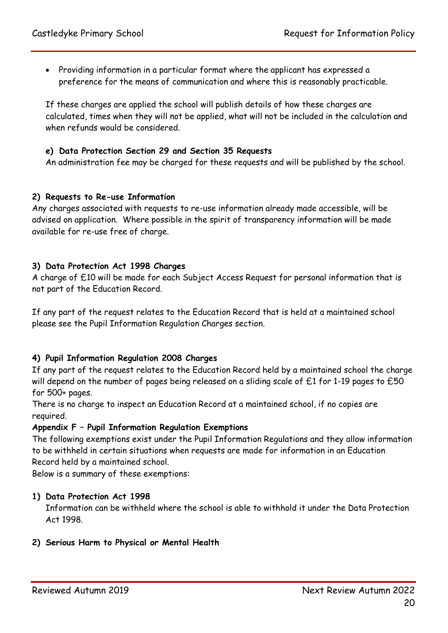Providing information in a particular format where the applicant has expressed a preference for the means of communication and where this is reasonably practicable.

If these charges are applied the school will publish details of how these charges are calculated, times when they will not be applied, what will not be included in the calculation and when refunds would be considered.

## **e) Data Protection Section 29 and Section 35 Requests**

An administration fee may be charged for these requests and will be published by the school.

## **2) Requests to Re-use Information**

Any charges associated with requests to re-use information already made accessible, will be advised on application. Where possible in the spirit of transparency information will be made available for re-use free of charge.

## **3) Data Protection Act 1998 Charges**

A charge of £10 will be made for each Subject Access Request for personal information that is not part of the Education Record.

If any part of the request relates to the Education Record that is held at a maintained school please see the Pupil Information Regulation Charges section.

## **4) Pupil Information Regulation 2008 Charges**

If any part of the request relates to the Education Record held by a maintained school the charge will depend on the number of pages being released on a sliding scale of £1 for 1-19 pages to £50 for 500+ pages.

There is no charge to inspect an Education Record at a maintained school, if no copies are required.

#### <span id="page-19-0"></span>**Appendix F – Pupil Information Regulation Exemptions**

The following exemptions exist under the Pupil Information Regulations and they allow information to be withheld in certain situations when requests are made for information in an Education Record held by a maintained school.

Below is a summary of these exemptions:

#### **1) Data Protection Act 1998**

Information can be withheld where the school is able to withhold it under the Data Protection Act 1998.

## **2) Serious Harm to Physical or Mental Health**